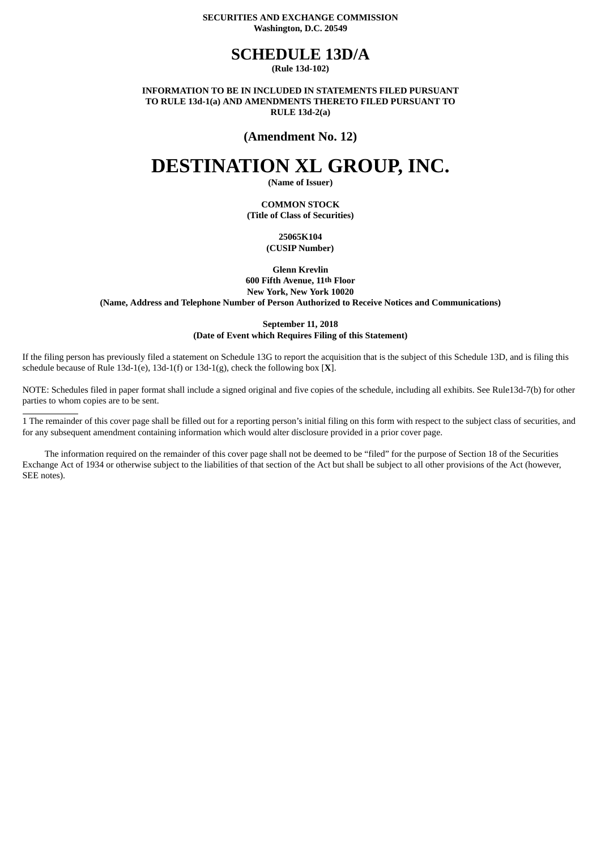#### **SECURITIES AND EXCHANGE COMMISSION Washington, D.C. 20549**

## **SCHEDULE 13D/A**

## **(Rule 13d-102)**

**INFORMATION TO BE IN INCLUDED IN STATEMENTS FILED PURSUANT TO RULE 13d-1(a) AND AMENDMENTS THERETO FILED PURSUANT TO RULE 13d-2(a)**

## **(Amendment No. 12)**

# **DESTINATION XL GROUP, INC.**

**(Name of Issuer)**

**COMMON STOCK (Title of Class of Securities)**

> **25065K104 (CUSIP Number)**

**Glenn Krevlin 600 Fifth Avenue, 11th Floor New York, New York 10020 (Name, Address and Telephone Number of Person Authorized to Receive Notices and Communications)**

#### **September 11, 2018 (Date of Event which Requires Filing of this Statement)**

If the filing person has previously filed a statement on Schedule 13G to report the acquisition that is the subject of this Schedule 13D, and is filing this schedule because of Rule 13d-1(e), 13d-1(f) or 13d-1(g), check the following box [**X**].

NOTE: Schedules filed in paper format shall include a signed original and five copies of the schedule, including all exhibits. See Rule13d-7(b) for other parties to whom copies are to be sent.

1 The remainder of this cover page shall be filled out for a reporting person's initial filing on this form with respect to the subject class of securities, and for any subsequent amendment containing information which would alter disclosure provided in a prior cover page.

The information required on the remainder of this cover page shall not be deemed to be "filed" for the purpose of Section 18 of the Securities Exchange Act of 1934 or otherwise subject to the liabilities of that section of the Act but shall be subject to all other provisions of the Act (however, SEE notes).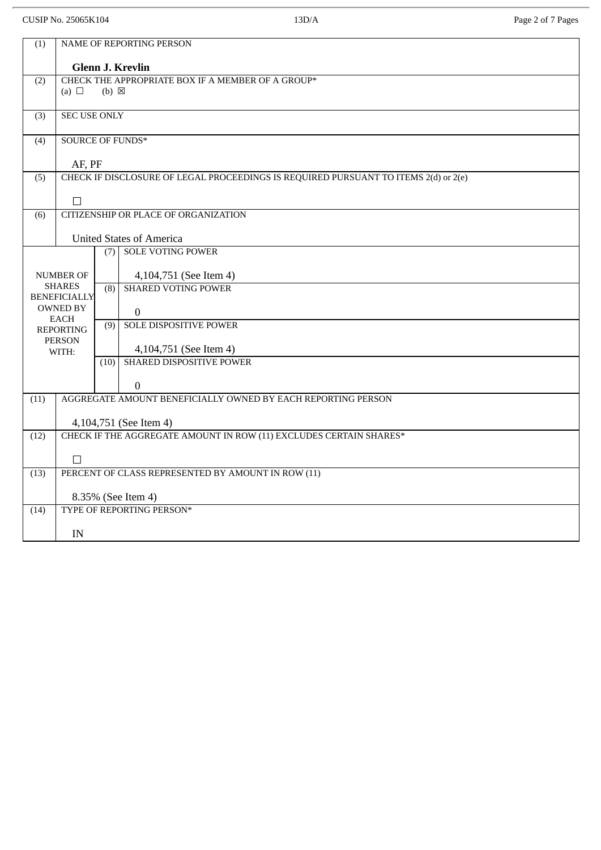CUSIP No. 25065K104 Page 2 of 7 Pages

| (1)                                                        | NAME OF REPORTING PERSON                                                                     |      |                                                      |
|------------------------------------------------------------|----------------------------------------------------------------------------------------------|------|------------------------------------------------------|
|                                                            | <b>Glenn J. Krevlin</b>                                                                      |      |                                                      |
| (2)                                                        | CHECK THE APPROPRIATE BOX IF A MEMBER OF A GROUP*<br>(a) $\Box$<br>$(b) \boxtimes$           |      |                                                      |
| (3)                                                        | <b>SEC USE ONLY</b>                                                                          |      |                                                      |
| (4)                                                        | <b>SOURCE OF FUNDS*</b>                                                                      |      |                                                      |
|                                                            | AF, PF                                                                                       |      |                                                      |
| (5)                                                        | CHECK IF DISCLOSURE OF LEGAL PROCEEDINGS IS REQUIRED PURSUANT TO ITEMS 2(d) or 2(e)          |      |                                                      |
|                                                            | $\Box$                                                                                       |      |                                                      |
| (6)                                                        | CITIZENSHIP OR PLACE OF ORGANIZATION                                                         |      |                                                      |
|                                                            | <b>United States of America</b>                                                              |      |                                                      |
|                                                            |                                                                                              |      | (7) SOLE VOTING POWER                                |
|                                                            |                                                                                              |      |                                                      |
| <b>NUMBER OF</b><br><b>SHARES</b>                          |                                                                                              |      | 4,104,751 (See Item 4)<br><b>SHARED VOTING POWER</b> |
| <b>BENEFICIALLY</b>                                        |                                                                                              | (8)  |                                                      |
| <b>OWNED BY</b>                                            |                                                                                              |      | $\overline{0}$                                       |
| <b>EACH</b><br><b>REPORTING</b>                            |                                                                                              | (9)  | <b>SOLE DISPOSITIVE POWER</b>                        |
| <b>PERSON</b>                                              |                                                                                              |      |                                                      |
|                                                            | WITH:                                                                                        | (10) | 4,104,751 (See Item 4)<br>SHARED DISPOSITIVE POWER   |
|                                                            |                                                                                              |      |                                                      |
|                                                            |                                                                                              |      | $\overline{0}$                                       |
| (11)                                                       | AGGREGATE AMOUNT BENEFICIALLY OWNED BY EACH REPORTING PERSON                                 |      |                                                      |
|                                                            |                                                                                              |      |                                                      |
| (12)                                                       | 4,104,751 (See Item 4)<br>CHECK IF THE AGGREGATE AMOUNT IN ROW (11) EXCLUDES CERTAIN SHARES* |      |                                                      |
|                                                            |                                                                                              |      |                                                      |
|                                                            | П                                                                                            |      |                                                      |
| PERCENT OF CLASS REPRESENTED BY AMOUNT IN ROW (11)<br>(13) |                                                                                              |      |                                                      |
| 8.35% (See Item 4)                                         |                                                                                              |      |                                                      |
| (14)                                                       | TYPE OF REPORTING PERSON*                                                                    |      |                                                      |
|                                                            | IN                                                                                           |      |                                                      |
|                                                            |                                                                                              |      |                                                      |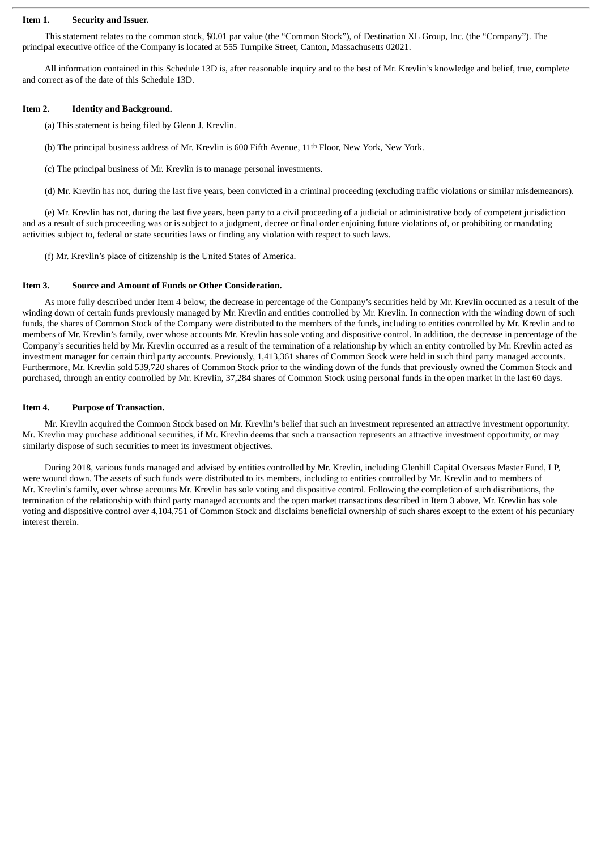#### **Item 1. Security and Issuer.**

This statement relates to the common stock, \$0.01 par value (the "Common Stock"), of Destination XL Group, Inc. (the "Company"). The principal executive office of the Company is located at 555 Turnpike Street, Canton, Massachusetts 02021.

All information contained in this Schedule 13D is, after reasonable inquiry and to the best of Mr. Krevlin's knowledge and belief, true, complete and correct as of the date of this Schedule 13D.

#### **Item 2. Identity and Background.**

(a) This statement is being filed by Glenn J. Krevlin.

- (b) The principal business address of Mr. Krevlin is 600 Fifth Avenue, 11th Floor, New York, New York.
- (c) The principal business of Mr. Krevlin is to manage personal investments.

(d) Mr. Krevlin has not, during the last five years, been convicted in a criminal proceeding (excluding traffic violations or similar misdemeanors).

(e) Mr. Krevlin has not, during the last five years, been party to a civil proceeding of a judicial or administrative body of competent jurisdiction and as a result of such proceeding was or is subject to a judgment, decree or final order enjoining future violations of, or prohibiting or mandating activities subject to, federal or state securities laws or finding any violation with respect to such laws.

(f) Mr. Krevlin's place of citizenship is the United States of America.

#### **Item 3. Source and Amount of Funds or Other Consideration.**

As more fully described under Item 4 below, the decrease in percentage of the Company's securities held by Mr. Krevlin occurred as a result of the winding down of certain funds previously managed by Mr. Krevlin and entities controlled by Mr. Krevlin. In connection with the winding down of such funds, the shares of Common Stock of the Company were distributed to the members of the funds, including to entities controlled by Mr. Krevlin and to members of Mr. Krevlin's family, over whose accounts Mr. Krevlin has sole voting and dispositive control. In addition, the decrease in percentage of the Company's securities held by Mr. Krevlin occurred as a result of the termination of a relationship by which an entity controlled by Mr. Krevlin acted as investment manager for certain third party accounts. Previously, 1,413,361 shares of Common Stock were held in such third party managed accounts. Furthermore, Mr. Krevlin sold 539,720 shares of Common Stock prior to the winding down of the funds that previously owned the Common Stock and purchased, through an entity controlled by Mr. Krevlin, 37,284 shares of Common Stock using personal funds in the open market in the last 60 days.

#### **Item 4. Purpose of Transaction.**

Mr. Krevlin acquired the Common Stock based on Mr. Krevlin's belief that such an investment represented an attractive investment opportunity. Mr. Krevlin may purchase additional securities, if Mr. Krevlin deems that such a transaction represents an attractive investment opportunity, or may similarly dispose of such securities to meet its investment objectives.

During 2018, various funds managed and advised by entities controlled by Mr. Krevlin, including Glenhill Capital Overseas Master Fund, LP, were wound down. The assets of such funds were distributed to its members, including to entities controlled by Mr. Krevlin and to members of Mr. Krevlin's family, over whose accounts Mr. Krevlin has sole voting and dispositive control. Following the completion of such distributions, the termination of the relationship with third party managed accounts and the open market transactions described in Item 3 above, Mr. Krevlin has sole voting and dispositive control over 4,104,751 of Common Stock and disclaims beneficial ownership of such shares except to the extent of his pecuniary interest therein.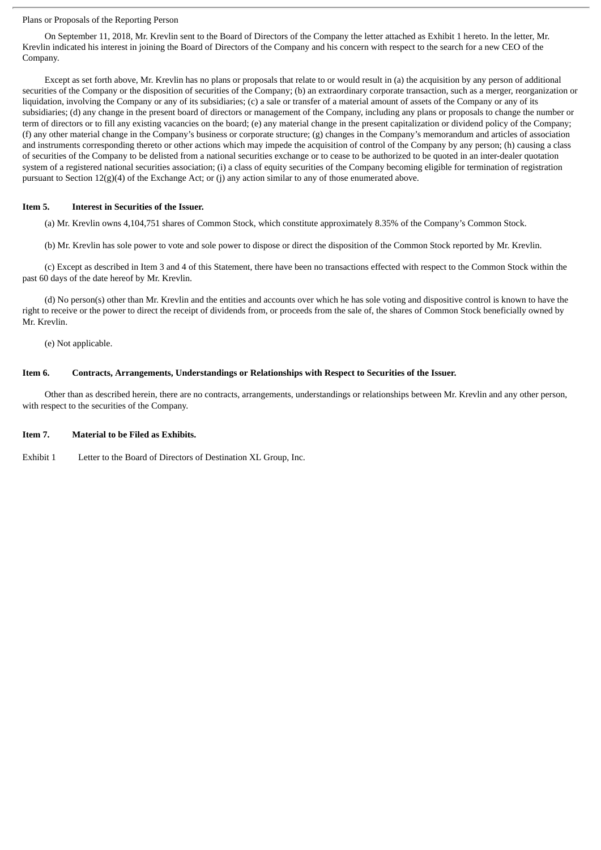#### Plans or Proposals of the Reporting Person

On September 11, 2018, Mr. Krevlin sent to the Board of Directors of the Company the letter attached as Exhibit 1 hereto. In the letter, Mr. Krevlin indicated his interest in joining the Board of Directors of the Company and his concern with respect to the search for a new CEO of the Company.

Except as set forth above, Mr. Krevlin has no plans or proposals that relate to or would result in (a) the acquisition by any person of additional securities of the Company or the disposition of securities of the Company; (b) an extraordinary corporate transaction, such as a merger, reorganization or liquidation, involving the Company or any of its subsidiaries; (c) a sale or transfer of a material amount of assets of the Company or any of its subsidiaries; (d) any change in the present board of directors or management of the Company, including any plans or proposals to change the number or term of directors or to fill any existing vacancies on the board; (e) any material change in the present capitalization or dividend policy of the Company; (f) any other material change in the Company's business or corporate structure; (g) changes in the Company's memorandum and articles of association and instruments corresponding thereto or other actions which may impede the acquisition of control of the Company by any person; (h) causing a class of securities of the Company to be delisted from a national securities exchange or to cease to be authorized to be quoted in an inter-dealer quotation system of a registered national securities association; (i) a class of equity securities of the Company becoming eligible for termination of registration pursuant to Section  $12(g)(4)$  of the Exchange Act; or (j) any action similar to any of those enumerated above.

#### **Item 5. Interest in Securities of the Issuer.**

(a) Mr. Krevlin owns 4,104,751 shares of Common Stock, which constitute approximately 8.35% of the Company's Common Stock.

(b) Mr. Krevlin has sole power to vote and sole power to dispose or direct the disposition of the Common Stock reported by Mr. Krevlin.

(c) Except as described in Item 3 and 4 of this Statement, there have been no transactions effected with respect to the Common Stock within the past 60 days of the date hereof by Mr. Krevlin.

(d) No person(s) other than Mr. Krevlin and the entities and accounts over which he has sole voting and dispositive control is known to have the right to receive or the power to direct the receipt of dividends from, or proceeds from the sale of, the shares of Common Stock beneficially owned by Mr. Krevlin.

(e) Not applicable.

#### **Item 6. Contracts, Arrangements, Understandings or Relationships with Respect to Securities of the Issuer.**

Other than as described herein, there are no contracts, arrangements, understandings or relationships between Mr. Krevlin and any other person, with respect to the securities of the Company.

#### **Item 7. Material to be Filed as Exhibits.**

Exhibit 1 Letter to the Board of Directors of Destination XL Group, Inc.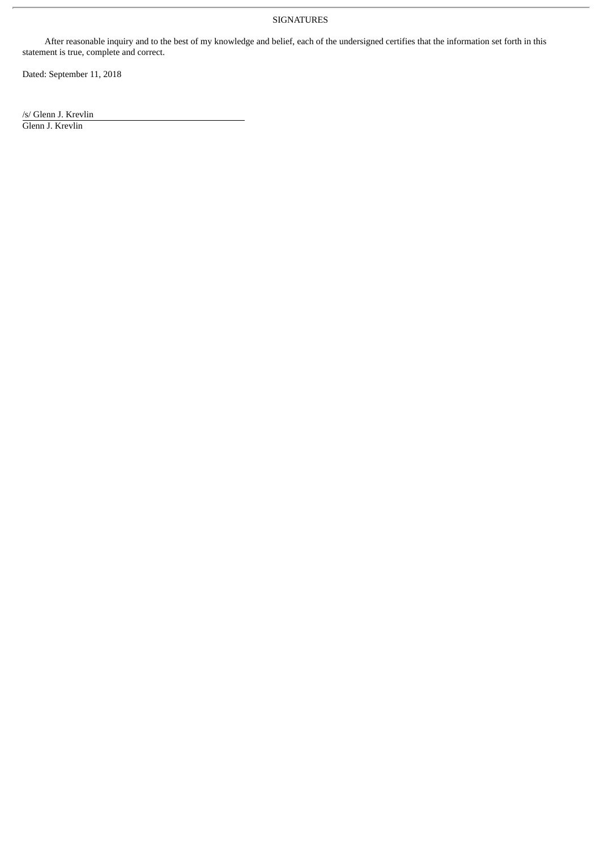### SIGNATURES

After reasonable inquiry and to the best of my knowledge and belief, each of the undersigned certifies that the information set forth in this statement is true, complete and correct.

Dated: September 11, 2018

/s/ Glenn J. Krevlin

Glenn J. Krevlin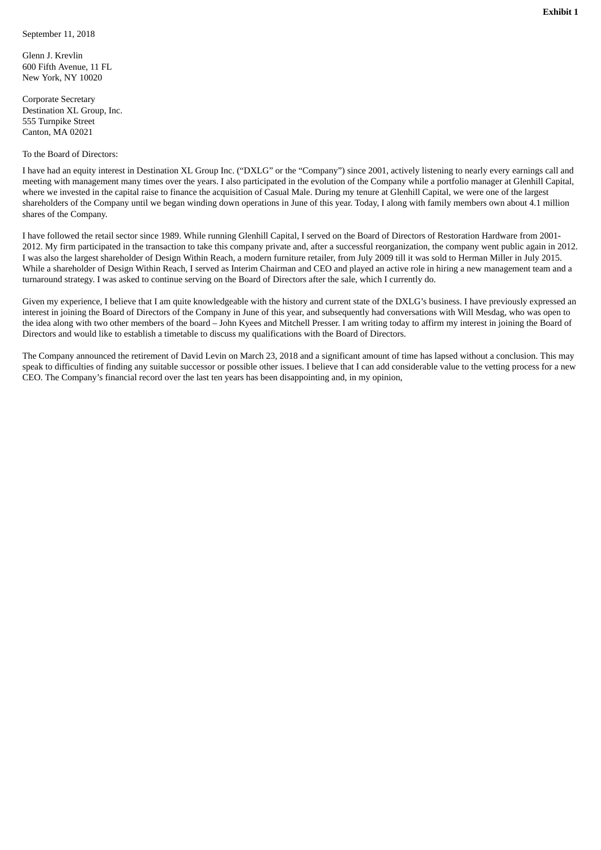#### September 11, 2018

Glenn J. Krevlin 600 Fifth Avenue, 11 FL New York, NY 10020

Corporate Secretary Destination XL Group, Inc. 555 Turnpike Street Canton, MA 02021

#### To the Board of Directors:

I have had an equity interest in Destination XL Group Inc. ("DXLG" or the "Company") since 2001, actively listening to nearly every earnings call and meeting with management many times over the years. I also participated in the evolution of the Company while a portfolio manager at Glenhill Capital, where we invested in the capital raise to finance the acquisition of Casual Male. During my tenure at Glenhill Capital, we were one of the largest shareholders of the Company until we began winding down operations in June of this year. Today, I along with family members own about 4.1 million shares of the Company.

I have followed the retail sector since 1989. While running Glenhill Capital, I served on the Board of Directors of Restoration Hardware from 2001- 2012. My firm participated in the transaction to take this company private and, after a successful reorganization, the company went public again in 2012. I was also the largest shareholder of Design Within Reach, a modern furniture retailer, from July 2009 till it was sold to Herman Miller in July 2015. While a shareholder of Design Within Reach, I served as Interim Chairman and CEO and played an active role in hiring a new management team and a turnaround strategy. I was asked to continue serving on the Board of Directors after the sale, which I currently do.

Given my experience, I believe that I am quite knowledgeable with the history and current state of the DXLG's business. I have previously expressed an interest in joining the Board of Directors of the Company in June of this year, and subsequently had conversations with Will Mesdag, who was open to the idea along with two other members of the board – John Kyees and Mitchell Presser. I am writing today to affirm my interest in joining the Board of Directors and would like to establish a timetable to discuss my qualifications with the Board of Directors.

The Company announced the retirement of David Levin on March 23, 2018 and a significant amount of time has lapsed without a conclusion. This may speak to difficulties of finding any suitable successor or possible other issues. I believe that I can add considerable value to the vetting process for a new CEO. The Company's financial record over the last ten years has been disappointing and, in my opinion,